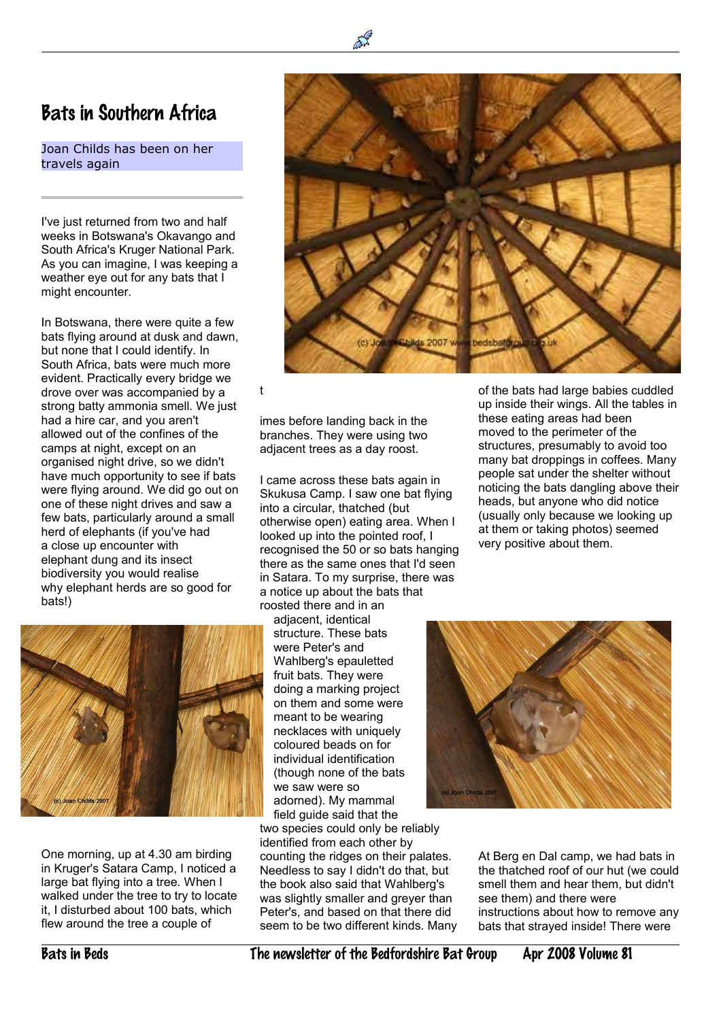## Bats in Southern Africa

Joan Childs has been on her travels again

I've just returned from two and half weeks in Botswana's Okavango and South Africa's Kruger National Park. As you can imagine, I was keeping a weather eye out for any bats that I might encounter.

In Botswana, there were quite a few bats flying around at dusk and dawn, but none that I could identify. In South Africa, bats were much more evident. Practically every bridge we drove over was accompanied by a strong batty ammonia smell. We just had a hire car, and you aren't allowed out of the confines of the camps at night, except on an organised night drive, so we didn't have much opportunity to see if bats were flying around. We did go out on one of these night drives and saw a few bats, particularly around a small herd of elephants (if you've had a close up encounter with elephant dung and its insect biodiversity you would realise why elephant herds are so good for bats!)



One morning, up at 4.30 am birding in Kruger's Satara Camp, I noticed a large bat flying into a tree. When I walked under the tree to try to locate it, I disturbed about 100 bats, which flew around the tree a couple of

blids 2007 www bedsbaterou

t

imes before landing back in the branches. They were using two adjacent trees as a day roost.

I came across these bats again in Skukusa Camp. I saw one bat flying into a circular, thatched (but otherwise open) eating area. When I looked up into the pointed roof, I recognised the 50 or so bats hanging there as the same ones that I'd seen in Satara. To my surprise, there was a notice up about the bats that

roosted there and in an adjacent, identical structure. These bats were Peter's and Wahlberg's epauletted fruit bats. They were doing a marking project on them and some were meant to be wearing necklaces with uniquely coloured beads on for individual identification (though none of the bats we saw were so adorned). My mammal field guide said that the

two species could only be reliably identified from each other by counting the ridges on their palates. Needless to say I didn't do that, but the book also said that Wahlberg's was slightly smaller and grever than Peter's, and based on that there did seem to be two different kinds. Many of the bats had large babies cuddled up inside their wings. All the tables in these eating areas had been moved to the perimeter of the structures, presumably to avoid too many bat droppings in coffees. Many people sat under the shelter without noticing the bats dangling above their heads, but anyone who did notice (usually only because we looking up at them or taking photos) seemed very positive about them.



At Berg en Dal camp, we had bats in the thatched roof of our hut (we could smell them and hear them, but didn't see them) and there were instructions about how to remove any bats that strayed inside! There were